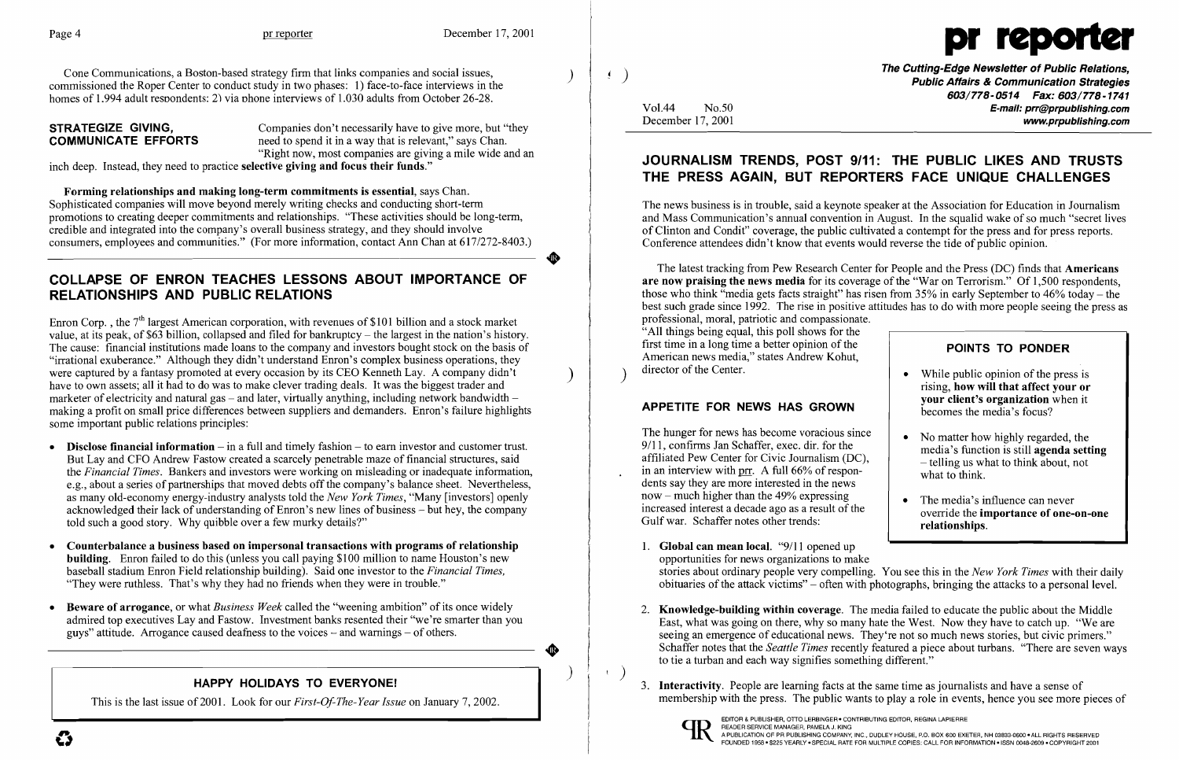Cone Communications, a Boston-based strategy firm that links companies and social issues, commissioned the Roper Center to conduct study in two phases: 1) face-to-face interviews in the homes of 1.994 adult respondents: 2) via phone interviews of 1.030 adults from October 26-28.

**STRATEGIZE GIVING.** Companies don't necessarily have to give more, but "they **COMMUNICATE EFFORTS** need to spend it in a way that is relevant," says Chan. "Right now, most companies are giving a mile wide and an

inch deep. Instead, they need to practice selective giving and focus their funds."

Forming relationships and making long-term commitments is essential, says Chan. Sophisticated companies will move beyond merely writing checks and conducting short-term promotions to creating deeper commitments and relationships. "These activities should be long-term, credible and integrated into the company's overall business strategy, and they should involve consumers, employees and communities." (For more information, contact Ann Chan at 617/272-8403.)

Enron Corp., the  $7<sup>th</sup>$  largest American corporation, with revenues of \$101 billion and a stock market value, at its peak, of \$63 billion, collapsed and filed for bankruptcy - the largest in the nation's history. The cause: financial institutions made loans to the company and investors bought stock on the basis of "irrational exuberance." Although they didn't understand Enron's complex business operations, they were captured by a fantasy promoted at every occasion by its CEO Kenneth Lay. A company didn't have to own assets; all it had to do was to make clever trading deals. It was the biggest trader and marketer of electricity and natural gas – and later, virtually anything, including network bandwidth – making a profit on small price differences between suppliers and demanders. Enron's failure highlights some important public relations principles:

- Disclose financial information  $-$  in a full and timely fashion  $-$  to earn investor and customer trust. But Lay and CFO Andrew Fastow created a scarcely penetrable maze of financial structures, said the *Financial Times.* Bankers and investors were working on misleading or inadequate information, e.g., about a series of partnerships that moved debts off the company's balance sheet. Nevertheless, as many old-economy energy-industry analysts told the *New York Times,* "Many [investors] openly acknowledged their lack of understanding of Enron's new lines of business - but hey, the company told such a good story. Why quibble over a few murky details?"
- Counterbalance a business based on impersonal transactions with programs of relationship building. Enron failed to do this (unless you call paying \$100 million to name Houston's new baseball stadium Enron Field relationship building). Said one investor to the *Financial Times,*  "They were ruthless. That's why they had no friends when they were in trouble."
- Beware of arrogance, or what *Business Week* called the "weening ambition" of its once widely admired top executives Lay and Fastow. Investment banks resented their "we're smarter than you guys" attitude. Arrogance caused deafness to the voices  $-$  and warnings  $-$  of others.

## COLLAPSE OF ENRON TEACHES LESSONS ABOUT IMPORTANCE OF RELATIONSHIPS AND PUBLIC RELATIONS

The Cutting-Edge Newsletter of Public Relations,<br>Public Affairs & Communication Strategies *603/778-0514 Fax: 603/778-1741*  Vo1.44 No.50 E-mail: prr@prpublishing.com December 17,2001 www.prpublishing.com

2. Knowledge-building within coverage. The media failed to educate the public about the Middle East, what was going on there, why so many hate the West. Now they have to catch up. "We are seeing an emergence of educational news. They're not so much news stories, but civic primers." Schaffer notes that the *Seattle Times* recently featured a piece about turbans. "There are seven ways

### HAPPY HOLIDAYS TO EVERYONE!

This is the last issue of2001. Look for our *First-Of-The-Year Issue* on January 7, 2002.

)

**•** 

)

 $\bullet$ 

)

 $\left( \begin{array}{c} 1 \\ 1 \end{array} \right)$ 



## JOURNALISM TRENDS, POST 9/11: THE PUBLIC LIKES AND TRUSTS THE PRESS AGAIN, BUT REPORTERS FACE UNIQUE CHALLENGES

The news business is in trouble, said a keynote speaker at the Association for Education in Journalism and Mass Communication's annual convention in August. In the squalid wake of so much "secret lives of Clinton and Condit" coverage, the public cultivated a contempt for the press and for press reports. Conference attendees didn't know that events would reverse the tide of public opinion.

### APPETITE FOR NEWS HAS GROWN

The latest tracking from Pew Research Center for People and the Press (DC) finds that Americans are now praising the news media for its coverage of the "War on Terrorism." Of 1,500 respondents, those who think "media gets facts straight" has risen from  $35\%$  in early September to  $46\%$  today – the best such grade since 1992. The rise in positive attitudes has to do with more people seeing the press as professional, moral, patriotic and compassionate. "All things being equal, this poll shows for the first time in a long time a better opinion of the American news media," states Andrew Kohut, ) director of the Center. POINTS TO PONDER

The hunger for news has become voracious since 9/11, confirms Jan Schaffer, exec. dir. for the affiliated Pew Center for Civic Journalism (DC), in an interview with prr, A full 66% of respondents say they are more interested in the news now – much higher than the  $49\%$  expressing increased interest a decade ago as a result of the Gulf war. Schaffer notes other trends:

- 1. Global can mean local. "9/11 opened up opportunities for news organizations to make
- to tie a turban and each way signifies something different."
- 3. **Interactivity**. People are learning facts at the same time as journalists and have a sense of



stories about ordinary people very compelling. You see this in the *New York Times* with their daily obituaries of the attack victims" - often with photographs, bringing the attacks to a personal level.

# • While public opinion of the press is • No matter how highly regarded, the • The media's influence can never rising, how will that affect your or your client's organization when it becomes the media's focus? media's function is still agenda setting - telling us what to think about, not what to think. override the importance of one-on-one relationships.

membership with the press. The public wants to playa role in events, hence you see more pieces of